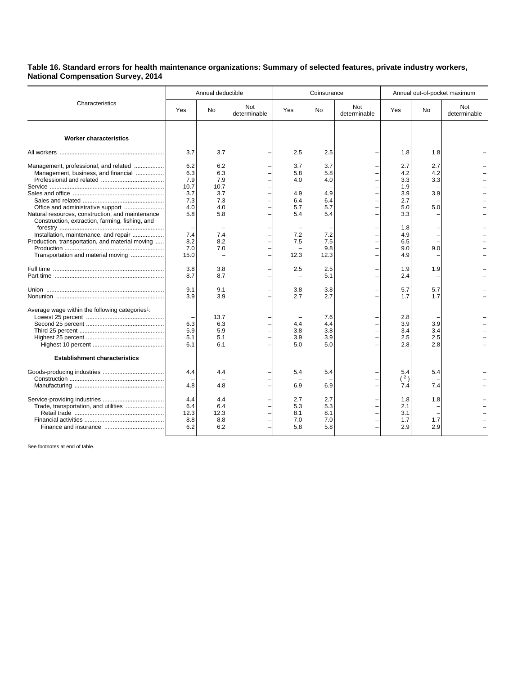## **Table 16. Standard errors for health maintenance organizations: Summary of selected features, private industry workers, National Compensation Survey, 2014**

|                                                                                                                                                                                                                                                                                                                       | Annual deductible                                                                         |                                                                                   |                     | Coinsurance                                                                |                                                                                   |                     | Annual out-of-pocket maximum                                                                   |                                               |                     |
|-----------------------------------------------------------------------------------------------------------------------------------------------------------------------------------------------------------------------------------------------------------------------------------------------------------------------|-------------------------------------------------------------------------------------------|-----------------------------------------------------------------------------------|---------------------|----------------------------------------------------------------------------|-----------------------------------------------------------------------------------|---------------------|------------------------------------------------------------------------------------------------|-----------------------------------------------|---------------------|
| Characteristics                                                                                                                                                                                                                                                                                                       | <b>Yes</b>                                                                                | No.                                                                               | Not<br>determinable | Yes                                                                        | <b>No</b>                                                                         | Not<br>determinable | Yes                                                                                            | <b>No</b>                                     | Not<br>determinable |
| <b>Worker characteristics</b>                                                                                                                                                                                                                                                                                         |                                                                                           |                                                                                   |                     |                                                                            |                                                                                   |                     |                                                                                                |                                               |                     |
|                                                                                                                                                                                                                                                                                                                       | 3.7                                                                                       | 3.7                                                                               |                     | 2.5                                                                        | 2.5                                                                               |                     | 1.8                                                                                            | 1.8                                           |                     |
| Management, professional, and related<br>Management, business, and financial<br>Natural resources, construction, and maintenance<br>Construction, extraction, farming, fishing, and<br>Installation, maintenance, and repair<br>Production, transportation, and material moving<br>Transportation and material moving | 6.2<br>6.3<br>7.9<br>10.7<br>3.7<br>7.3<br>4.0<br>5.8<br>7.4<br>8.2<br>7.0<br>15.0<br>3.8 | 6.2<br>6.3<br>7.9<br>10.7<br>3.7<br>7.3<br>4.0<br>5.8<br>7.4<br>8.2<br>7.0<br>3.8 |                     | 3.7<br>5.8<br>4.0<br>4.9<br>6.4<br>5.7<br>5.4<br>7.2<br>7.5<br>12.3<br>2.5 | 3.7<br>5.8<br>4.0<br>4.9<br>6.4<br>5.7<br>5.4<br>7.2<br>7.5<br>9.8<br>12.3<br>2.5 |                     | 2.7<br>4.2<br>3.3<br>1.9<br>3.9<br>2.7<br>5.0<br>3.3<br>1.8<br>4.9<br>6.5<br>9.0<br>4.9<br>1.9 | 2.7<br>4.2<br>3.3<br>3.9<br>5.0<br>9.0<br>1.9 |                     |
|                                                                                                                                                                                                                                                                                                                       | 8.7                                                                                       | 8.7                                                                               |                     |                                                                            | 5.1                                                                               |                     | 2.4                                                                                            |                                               |                     |
|                                                                                                                                                                                                                                                                                                                       | 9.1<br>3.9                                                                                | 9.1<br>3.9                                                                        |                     | 3.8<br>2.7                                                                 | 3.8<br>2.7                                                                        |                     | 5.7<br>1.7                                                                                     | 5.7<br>1.7                                    |                     |
| Average wage within the following categories <sup>1</sup> :                                                                                                                                                                                                                                                           | 6.3<br>5.9<br>5.1<br>6.1                                                                  | 13.7<br>6.3<br>5.9<br>5.1<br>6.1                                                  |                     | 4.4<br>3.8<br>3.9<br>5.0                                                   | 7.6<br>4.4<br>3.8<br>3.9<br>5.0                                                   |                     | 2.8<br>3.9<br>3.4<br>2.5<br>2.8                                                                | 3.9<br>3.4<br>2.5<br>2.8                      |                     |
| <b>Establishment characteristics</b>                                                                                                                                                                                                                                                                                  |                                                                                           |                                                                                   |                     |                                                                            |                                                                                   |                     |                                                                                                |                                               |                     |
|                                                                                                                                                                                                                                                                                                                       | 4.4<br>4.8                                                                                | 4.4<br>4.8                                                                        |                     | 5.4<br>6.9                                                                 | 5.4<br>6.9                                                                        |                     | 5.4<br>(2)<br>7.4                                                                              | 5.4<br>7.4                                    |                     |
|                                                                                                                                                                                                                                                                                                                       | 4.4<br>6.4<br>12.3<br>8.8<br>6.2                                                          | 4.4<br>6.4<br>12.3<br>8.8<br>6.2                                                  |                     | 2.7<br>5.3<br>8.1<br>7.0<br>5.8                                            | 2.7<br>5.3<br>8.1<br>7.0<br>5.8                                                   |                     | 1.8<br>2.1<br>3.1<br>1.7<br>2.9                                                                | 1.8<br>1.7<br>2.9                             |                     |

See footnotes at end of table.